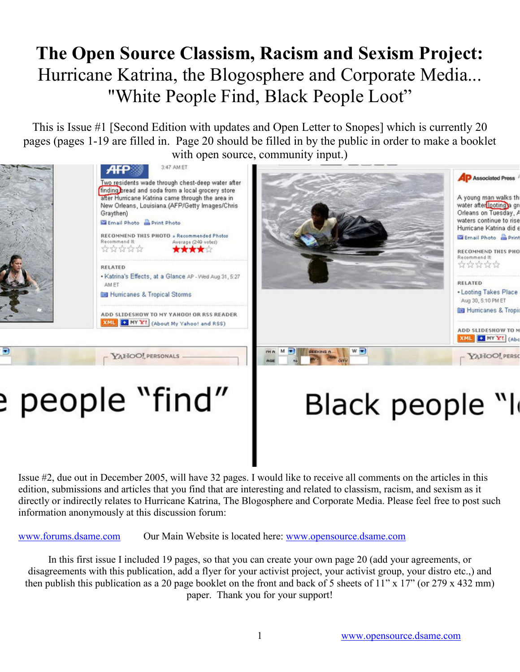# The Open Source Classism, Racism and Sexism Project: Hurricane Katrina, the Blogosphere and Corporate Media... "White People Find, Black People Loot"

This is Issue #1 [Second Edition with updates and Open Letter to Snopes] which is currently 20 pages (pages 1-19 are filled in. Page 20 should be filled in by the public in order to make a booklet with open source, community input.)

| <b>AD</b> Associated Press<br>A young man walks th<br>water after looting a gr<br>Orleans on Tuesday, A<br>waters continue to rise<br>Hurricane Katrina did e<br>Ed Email Photo B Print<br>RECOMMEND THIS PHO<br>Recommend It:<br>*****<br><b>RELATED</b><br>. Looting Takes Place<br>Aug 30, 5:10 PM ET<br><b>Ed Hurricanes &amp; Tropio</b><br>ADD SLIDESHOW TO M<br>XML O MY YL (Abo |
|-----------------------------------------------------------------------------------------------------------------------------------------------------------------------------------------------------------------------------------------------------------------------------------------------------------------------------------------------------------------------------------------|
| $W =$<br>SEEKING A<br>YAHOO! PERSO                                                                                                                                                                                                                                                                                                                                                      |
| Black people "I                                                                                                                                                                                                                                                                                                                                                                         |
|                                                                                                                                                                                                                                                                                                                                                                                         |

Issue #2, due out in December 2005, will have 32 pages. I would like to receive all comments on the articles in this edition, submissions and articles that you find that are interesting and related to classism, racism, and sexism as it directly or indirectly relates to Hurricane Katrina, The Blogosphere and Corporate Media. Please feel free to post such [information anonymously](http://www.forums.dsame.com/) at this discussion forum:

www.forums.dsame.com Our Main Website is located here: [www.opensource.dsame.com](http://www.opensource.dsame.com/)

In this first issue I included 19 pages, so that you can create your own page 20 (add your agreements, or disagreements with this publication, add a flyer for your activist project, your activist group, your distro etc.,) and then publish this publication as a 20 page booklet on the front and back of 5 sheets of 11" x 17" (or 279 x 432 mm) paper. Thank you for your support!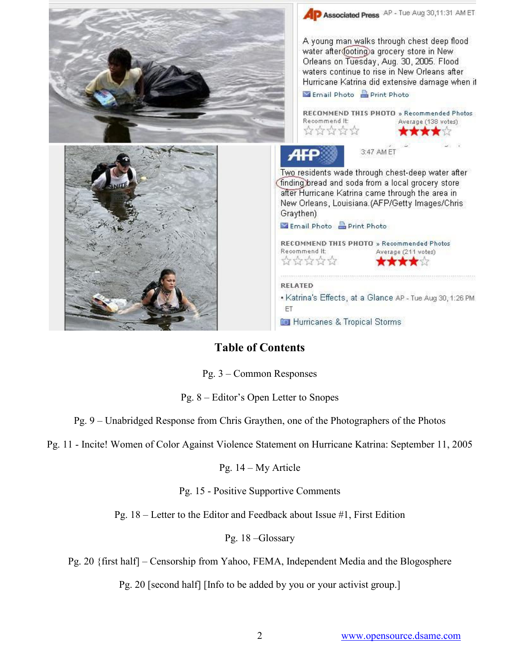

### Table of Contents

Pg. 3 – Common Responses

Pg. 8 – Editor's Open Letter to Snopes

Pg. 9 – Unabridged Response from Chris Graythen, one of the Photographers of the Photos

Pg. 11 - Incite! Women of Color Against Violence Statement on Hurricane Katrina: September 11, 2005

Pg. 14 – My Article

Pg. 15 - Positive Supportive Comments

Pg. 18 – Letter to the Editor and Feedback about Issue #1, First Edition

Pg. 18 –Glossary

Pg. 20 {first half] – Censorship from Yahoo, FEMA, Independent Media and the Blogosphere

Pg. 20 [second half] [Info to be added by you or your activist group.]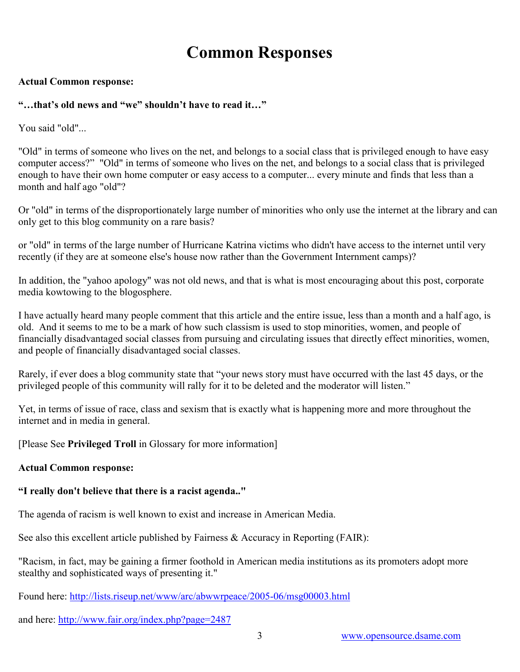# Common Responses

#### Actual Common response:

#### "…that's old news and "we" shouldn't have to read it…"

You said "old"...

"Old" in terms of someone who lives on the net, and belongs to a social class that is privileged enough to have easy computer access?" "Old" in terms of someone who lives on the net, and belongs to a social class that is privileged enough to have their own home computer or easy access to a computer... every minute and finds that less than a month and half ago "old"?

Or "old" in terms of the disproportionately large number of minorities who only use the internet at the library and can only get to this blog community on a rare basis?

or "old" in terms of the large number of Hurricane Katrina victims who didn't have access to the internet until very recently (if they are at someone else's house now rather than the Government Internment camps)?

In addition, the "yahoo apology" was not old news, and that is what is most encouraging about this post, corporate media kowtowing to the blogosphere.

I have actually heard many people comment that this article and the entire issue, less than a month and a half ago, is old. And it seems to me to be a mark of how such classism is used to stop minorities, women, and people of financially disadvantaged social classes from pursuing and circulating issues that directly effect minorities, women, and people of financially disadvantaged social classes.

Rarely, if ever does a blog community state that "your news story must have occurred with the last 45 days, or the privileged people of this community will rally for it to be deleted and the moderator will listen."

Yet, in terms of issue of race, class and sexism that is exactly what is happening more and more throughout the internet and in media in general.

[Please See Privileged Troll in Glossary for more information]

#### Actual Common response:

#### "I really don't believe that there is a racist agenda.."

The agenda of racism is well known to exist and increase in American Media.

See also this excellent article published by Fairness & Accuracy in Reporting (FAIR):

"Racism, in fact, may be gaining a firmer foothold in American media institutions as its promoters adopt more stealthy and [sophisticated ways of presenting it."](http://lists.riseup.net/www/arc/abwwrpeace/2005-06/msg00003.html) 

Found he[re: http://lists.riseup.net/www/arc/abwwrpe](http://www.fair.org/index.php?page=2487)ace/2005-06/msg00003.html

and here: http://www.fair.org/index.php?page=2487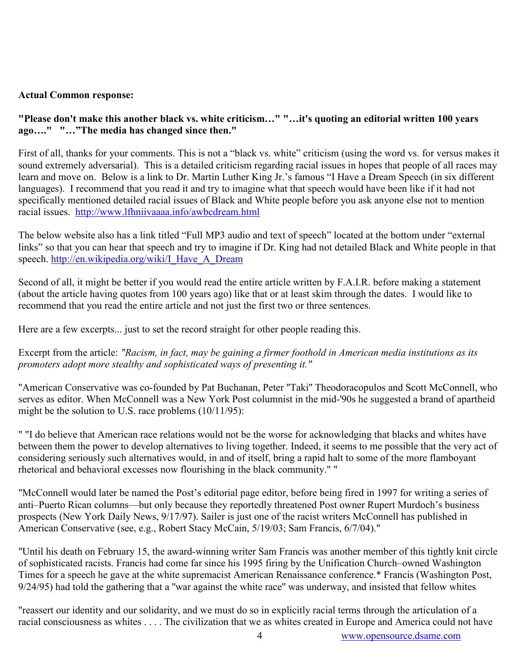#### Actual Common response:

#### "Please don't make this another black vs. white criticism…" "…it's quoting an editorial written 100 years ago…." "…"The media has changed since then."

First of all, thanks for your comments. This is not a "black vs. white" criticism (using the word vs. for versus makes it sound extrem[ely adversarial\). This is a detailed criticism re](http://www.lfhniivaaaa.info/awbcdream.html)garding racial issues in hopes that people of all races may learn and move on. Below is a link to Dr. Martin Luther King Jr.'s famous "I Have a Dream Speech (in six different languages). I recommend that you read it and try to imagine what that speech would have been like if it had not specifically mentioned detailed racial issues of Black and White people before you ask anyone else not to mention racial is[sues. http://www.lfhniivaaaa.info/awbcdream.h](http://en.wikipedia.org/wiki/I_Have_A_Dream)tml

The below website also has a link titled "Full MP3 audio and text of speech" located at the bottom under "external links" so that you can hear that speech and try to imagine if Dr. King had not detailed Black and White people in that speech. http://en.wikipedia.org/wiki/I\_Have\_A\_Dream

Second of all, it might be better if you would read the entire article written by F.A.I.R. before making a statement (about the article having quotes from 100 years ago) like that or at least skim through the dates. I would like to recommend that you read the entire article and not just the first two or three sentences.

Here are a few excerpts... just to set the record straight for other people reading this.

Excerpt from the article: "Racism, in fact, may be gaining a firmer foothold in American media institutions as its promoters adopt more stealthy and sophisticated ways of presenting it."

"American Conservative was co-founded by Pat Buchanan, Peter ''Taki'' Theodoracopulos and Scott McConnell, who serves as editor. When McConnell was a New York Post columnist in the mid-'90s he suggested a brand of apartheid might be the solution to U.S. race problems (10/11/95):

" "I do believe that American race relations would not be the worse for acknowledging that blacks and whites have between them the power to develop alternatives to living together. Indeed, it seems to me possible that the very act of considering seriously such alternatives would, in and of itself, bring a rapid halt to some of the more flamboyant rhetorical and behavioral excesses now flourishing in the black community." "

"McConnell would later be named the Post's editorial page editor, before being fired in 1997 for writing a series of anti–Puerto Rican columns—but only because they reportedly threatened Post owner Rupert Murdoch's business prospects (New York Daily News, 9/17/97). Sailer is just one of the racist writers McConnell has published in American Conservative (see, e.g., Robert Stacy McCain, 5/19/03; Sam Francis, 6/7/04)."

"Until his death on February 15, the award-winning writer Sam Francis was another member of this tightly knit circle of sophisticated racists. Francis had come far since his 1995 firing by the Unification Church–owned Washington Times for a speech he gave at the white supremacist American Renaissance conference.\* Francis (Washington Post, 9/24/95) had told the gathering that a ''war against the white race'' was underway, and insisted that fellow whites

"reassert our identity and our solidarity, and we must do so in explicitly racial terms through the articulation of a racial consciousness as whites . . . . The civilization that we as whites created in Europe and America could not have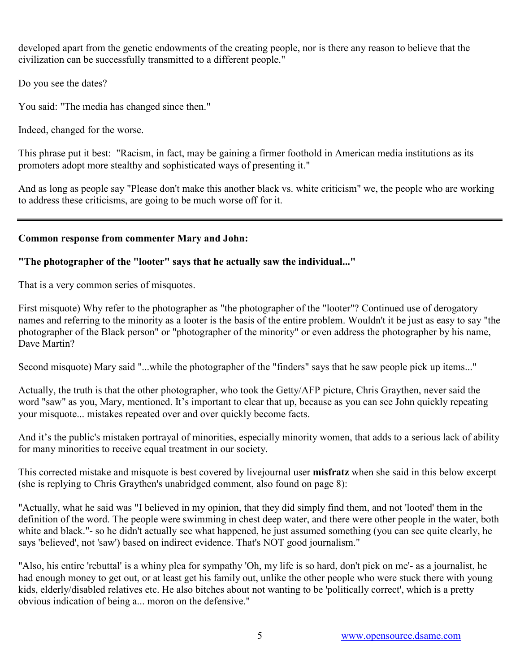developed apart from the genetic endowments of the creating people, nor is there any reason to believe that the civilization can be successfully transmitted to a different people."

Do you see the dates?

You said: "The media has changed since then."

Indeed, changed for the worse.

This phrase put it best: "Racism, in fact, may be gaining a firmer foothold in American media institutions as its promoters adopt more stealthy and sophisticated ways of presenting it."

And as long as people say "Please don't make this another black vs. white criticism" we, the people who are working to address these criticisms, are going to be much worse off for it.

#### Common response from commenter Mary and John:

#### "The photographer of the "looter" says that he actually saw the individual..."

That is a very common series of misquotes.

First misquote) Why refer to the photographer as "the photographer of the "looter"? Continued use of derogatory names and referring to the minority as a looter is the basis of the entire problem. Wouldn't it be just as easy to say "the photographer of the Black person" or "photographer of the minority" or even address the photographer by his name, Dave Martin?

Second misquote) Mary said "...while the photographer of the "finders" says that he saw people pick up items..."

Actually, the truth is that the other photographer, who took the Getty/AFP picture, Chris Graythen, never said the word "saw" as you, Mary, mentioned. It's important to clear that up, because as you can see John quickly repeating your misquote... mistakes repeated over and over quickly become facts.

And it's the public's mistaken portrayal of minorities, especially minority women, that adds to a serious lack of ability for many minorities to receive equal treatment in our society.

This corrected mistake and misquote is best covered by livejournal user misfratz when she said in this below excerpt (she is replying to Chris Graythen's unabridged comment, also found on page 8):

"Actually, what he said was "I believed in my opinion, that they did simply find them, and not 'looted' them in the definition of the word. The people were swimming in chest deep water, and there were other people in the water, both white and black."- so he didn't actually see what happened, he just assumed something (you can see quite clearly, he says 'believed', not 'saw') based on indirect evidence. That's NOT good journalism."

"Also, his entire 'rebuttal' is a whiny plea for sympathy 'Oh, my life is so hard, don't pick on me'- as a journalist, he had enough money to get out, or at least get his family out, unlike the other people who were stuck there with young kids, elderly/disabled relatives etc. He also bitches about not wanting to be 'politically correct', which is a pretty obvious indication of being a... moron on the defensive."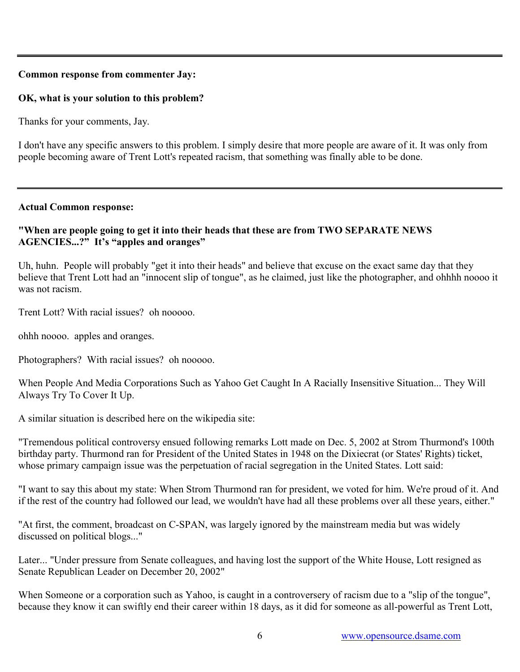#### Common response from commenter Jay:

#### OK, what is your solution to this problem?

Thanks for your comments, Jay.

I don't have any specific answers to this problem. I simply desire that more people are aware of it. It was only from people becoming aware of Trent Lott's repeated racism, that something was finally able to be done.

#### Actual Common response:

#### "When are people going to get it into their heads that these are from TWO SEPARATE NEWS AGENCIES...?" It's "apples and oranges"

Uh, huhn. People will probably "get it into their heads" and believe that excuse on the exact same day that they believe that Trent Lott had an "innocent slip of tongue", as he claimed, just like the photographer, and ohhhh noooo it was not racism.

Trent Lott? With racial issues? oh nooooo.

ohhh noooo. apples and oranges.

Photographers? With racial issues? oh nooooo.

When People And Media Corporations Such as Yahoo Get Caught In A Racially Insensitive Situation... They Will Always Try To Cover It Up.

A similar situation is described here on the wikipedia site:

"Tremendous political controversy ensued following remarks Lott made on Dec. 5, 2002 at Strom Thurmond's 100th birthday party. Thurmond ran for President of the United States in 1948 on the Dixiecrat (or States' Rights) ticket, whose primary campaign issue was the perpetuation of racial segregation in the United States. Lott said:

"I want to say this about my state: When Strom Thurmond ran for president, we voted for him. We're proud of it. And if the rest of the country had followed our lead, we wouldn't have had all these problems over all these years, either."

"At first, the comment, broadcast on C-SPAN, was largely ignored by the mainstream media but was widely discussed on political blogs..."

Later... "Under pressure from Senate colleagues, and having lost the support of the White House, Lott resigned as Senate Republican Leader on December 20, 2002"

When Someone or a corporation such as Yahoo, is caught in a controversery of racism due to a "slip of the tongue", because they know it can swiftly end their career within 18 days, as it did for someone as all-powerful as Trent Lott,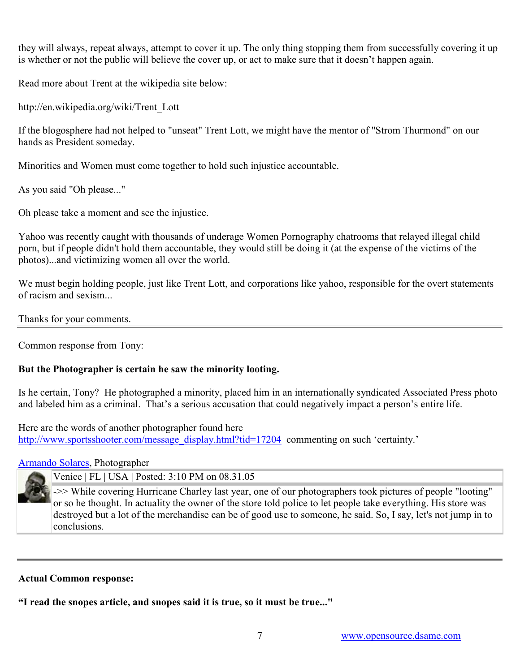they will always, repeat always, attempt to cover it up. The only thing stopping them from successfully covering it up is whether or not the public will believe the cover up, or act to make sure that it doesn't happen again.

Read more about Trent at the wikipedia site below:

http://en.wikipedia.org/wiki/Trent\_Lott

If the blogosphere had not helped to "unseat" Trent Lott, we might have the mentor of "Strom Thurmond" on our hands as President someday.

Minorities and Women must come together to hold such injustice accountable.

As you said "Oh please..."

Oh please take a moment and see the injustice.

Yahoo was recently caught with thousands of underage Women Pornography chatrooms that relayed illegal child porn, but if people didn't hold them accountable, they would still be doing it (at the expense of the victims of the photos)...and victimizing women all over the world.

We must begin holding people, just like Trent Lott, and corporations like yahoo, responsible for the overt statements [of racism and sexism...](http://www.sportsshooter.com/message_display.html?tid=17204) 

#### [Thanks for your c](http://www.sportsshooter.com/members.html?id=2453)omments.

Common response from Tony:

#### But the Photographer is certain he saw the minority looting.

Is he certain, Tony? He photographed a minority, placed him in an internationally syndicated Associated Press photo and labeled him as a criminal. That's a serious accusation that could negatively impact a person's entire life.

Here are the words of another photographer found here http://www.sportsshooter.com/message\_display.html?tid=17204 commenting on such 'certainty.'

#### Armando Solares, Photographer

Venice | FL | USA | Posted: 3:10 PM on 08.31.05

->> While covering Hurricane Charley last year, one of our photographers took pictures of people "looting" or so he thought. In actuality the owner of the store told police to let people take everything. His store was destroyed but a lot of the merchandise can be of good use to someone, he said. So, I say, let's not jump in to conclusions.

#### Actual Common response:

"I read the snopes article, and snopes said it is true, so it must be true..."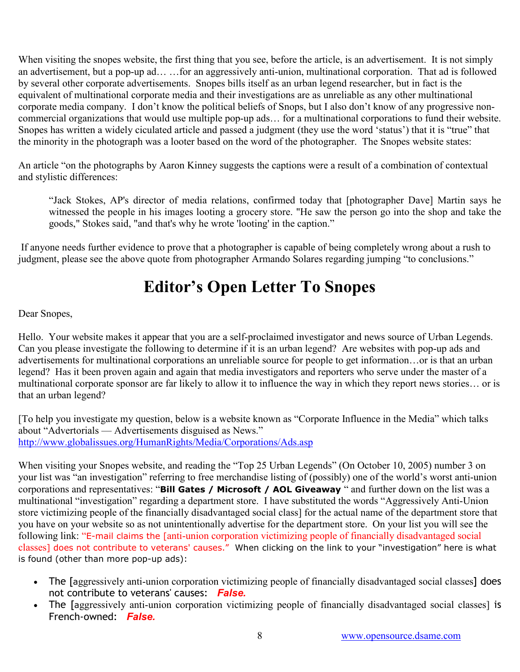When visiting the snopes website, the first thing that you see, before the article, is an advertisement. It is not simply an advertisement, but a pop-up ad… …for an aggressively anti-union, multinational corporation. That ad is followed by several other corporate advertisements. Snopes bills itself as an urban legend researcher, but in fact is the equivalent of multinational corporate media and their investigations are as unreliable as any other multinational corporate media company. I don't know the political beliefs of Snops, but I also don't know of any progressive noncommercial organizations that would use multiple pop-up ads… for a multinational corporations to fund their website. Snopes has written a widely ciculated article and passed a judgment (they use the word 'status') that it is "true" that the minority in the photograph was a looter based on the word of the photographer. The Snopes website states:

An article "on the photographs by Aaron Kinney suggests the captions were a result of a combination of contextual and stylistic differences:

"Jack Stokes, AP's director of media relations, confirmed today that [photographer Dave] Martin says he witnessed the people in his images looting a grocery store. "He saw the person go into the shop and take the goods," Stokes said, "and that's why he wrote 'looting' in the caption."

 If anyone needs further evidence to prove that a photographer is capable of being completely wrong about a rush to [judgment, please see the above quote from photographer Armando Solar](http://www.globalissues.org/HumanRights/Media/Corporations/Ads.asp)es regarding jumping "to conclusions."

## Editor's Open Letter To Snopes

Dear Snopes,

Hello. Your website makes it appear that you are a self-proclaimed investigator and news source of Urban Legends. Can you please investigate the following to determine if it is an urban legend? Are websites with pop-up ads and advertisements for multinational corporations an unreliable source for people to get information…or is that an urban legend? Has it been proven again and again that media investigators and reporters who serve under the master of a multinational corporate sponsor are far likely to allow it to influence the way in which they report news stories… or is that an urban legend?

[To help you investigate my question, below is a website known as "Corporate Influence in the Media" which talks about "Advertorials — Advertisements disguised as News." http://www.globalissues.org/HumanRights/Media/Corporations/Ads.asp

When visiting your Snopes website, and reading the "Top 25 Urban Legends" (On October 10, 2005) number 3 on your list was "an investigation" referring to free merchandise listing of (possibly) one of the world's worst anti-union corporations and representatives: "Bill Gates / Microsoft / AOL Giveaway" and further down on the list was a multinational "investigation" regarding a department store. I have substituted the words "Aggressively Anti-Union store victimizing people of the financially disadvantaged social class] for the actual name of the department store that you have on your website so as not unintentionally advertise for the department store. On your list you will see the following link: "E-mail claims the [anti-union corporation victimizing people of financially disadvantaged social classes] does not contribute to veterans' causes." When clicking on the link to your "investigation" here is what is found (other than more pop-up ads):

- The [aggressively anti-union corporation victimizing people of financially disadvantaged social classes] does not contribute to veterans' causes: False.
- The [aggressively anti-union corporation victimizing people of financially disadvantaged social classes] is French-owned: False.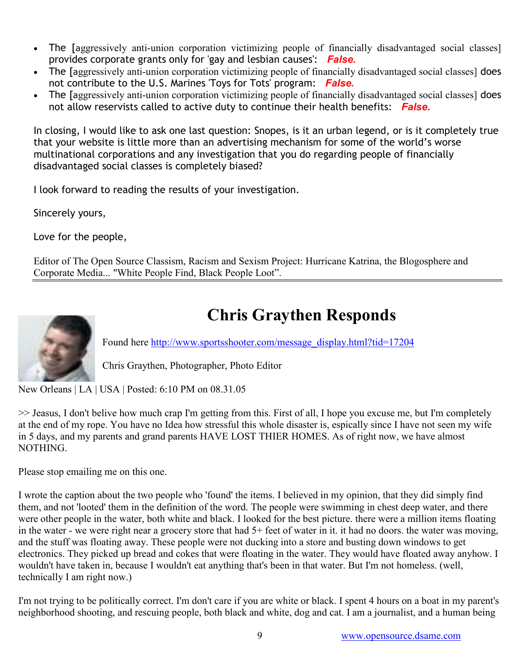- The [aggressively anti-union corporation victimizing people of financially disadvantaged social classes] provides corporate grants only for 'gay and lesbian causes': False.
- The Iaggressively anti-union corporation victimizing people of financially disadvantaged social classes] does not contribute to the U.S. Marines 'Toys for Tots' program: False.
- The [aggressively anti-union corporation victimizing people of financially disadvantaged social classes] does not allow reservists called to active duty to continue their health benefits: False.

In closing, I would like to [ask one last question: Snopes, is it an urban legend, or is i](http://www.sportsshooter.com/message_display.html?tid=17204)t completely true that your website is little more than an advertising mechanism for some of the world's worse multinational corporations and any investigation that you do regarding people of financially disadvantaged social classes is completely biased?

I look forward to reading the results of your investigation.

Sincerely yours,

Love for the people,

Editor of The Open Source Classism, Racism and Sexism Project: Hurricane Katrina, the Blogosphere and Corporate Media... "White People Find, Black People Loot".



# Chris Graythen Responds

Found here http://www.sportsshooter.com/message\_display.html?tid=17204

Chris Graythen, Photographer, Photo Editor

New Orleans | LA | USA | Posted: 6:10 PM on 08.31.05

>> Jeasus, I don't belive how much crap I'm getting from this. First of all, I hope you excuse me, but I'm completely at the end of my rope. You have no Idea how stressful this whole disaster is, espically since I have not seen my wife in 5 days, and my parents and grand parents HAVE LOST THIER HOMES. As of right now, we have almost NOTHING.

Please stop emailing me on this one.

I wrote the caption about the two people who 'found' the items. I believed in my opinion, that they did simply find them, and not 'looted' them in the definition of the word. The people were swimming in chest deep water, and there were other people in the water, both white and black. I looked for the best picture. there were a million items floating in the water - we were right near a grocery store that had 5+ feet of water in it. it had no doors. the water was moving, and the stuff was floating away. These people were not ducking into a store and busting down windows to get electronics. They picked up bread and cokes that were floating in the water. They would have floated away anyhow. I wouldn't have taken in, because I wouldn't eat anything that's been in that water. But I'm not homeless. (well, technically I am right now.)

I'm not trying to be politically correct. I'm don't care if you are white or black. I spent 4 hours on a boat in my parent's neighborhood shooting, and rescuing people, both black and white, dog and cat. I am a journalist, and a human being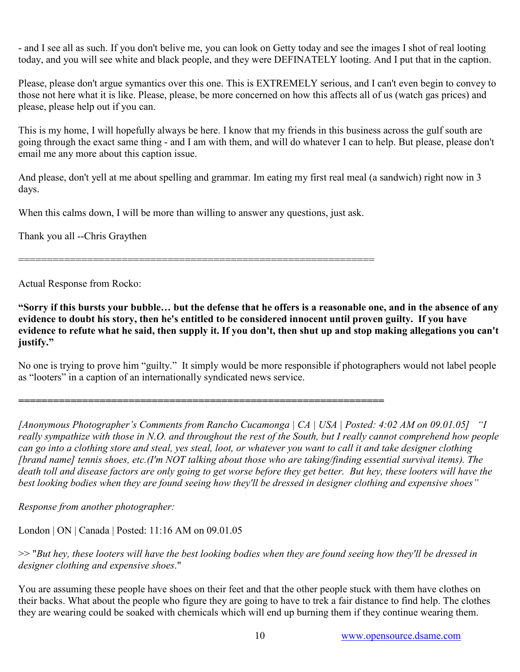- and I see all as such. If you don't belive me, you can look on Getty today and see the images I shot of real looting today, and you will see white and black people, and they were DEFINATELY looting. And I put that in the caption.

Please, please don't argue symantics over this one. This is EXTREMELY serious, and I can't even begin to convey to those not here what it is like. Please, please, be more concerned on how this affects all of us (watch gas prices) and please, please help out if you can.

This is my home, I will hopefully always be here. I know that my friends in this business across the gulf south are going through the exact same thing - and I am with them, and will do whatever I can to help. But please, please don't email me any more about this caption issue.

And please, don't yell at me about spelling and grammar. Im eating my first real meal (a sandwich) right now in 3 days.

When this calms down, I will be more than willing to answer any questions, just ask.

==============================================================

===============================================================

Thank you all --Chris Graythen

Actual Response from Rocko:

"Sorry if this bursts your bubble… but the defense that he offers is a reasonable one, and in the absence of any evidence to doubt his story, then he's entitled to be considered innocent until proven guilty. If you have evidence to refute what he said, then supply it. If you don't, then shut up and stop making allegations you can't justify."

No one is trying to prove him "guilty." It simply would be more responsible if photographers would not label people as "looters" in a caption of an internationally syndicated news service.

[Anonymous Photographer's Comments from Rancho Cucamonga | CA | USA | Posted: 4:02 AM on 09.01.05] "I really sympathize with those in N.O. and throughout the rest of the South, but I really cannot comprehend how people can go into a clothing store and steal, yes steal, loot, or whatever you want to call it and take designer clothing [brand name] tennis shoes, etc.(I'm NOT talking about those who are taking/finding essential survival items). The death toll and disease factors are only going to get worse before they get better. But hey, these looters will have the best looking bodies when they are found seeing how they'll be dressed in designer clothing and expensive shoes"

Response from another ph[otographer:](http://www.sportsshooter.com/members.html?id=993) 

London | ON | Canada | Posted: 11:16 AM on 09.01.05

>> "But hey, these looters will have the best looking bodies when they are found seeing how they'll be dressed in designer clothing and expensive shoes."

You are assuming these people have shoes on their feet and that the other people stuck with them have clothes on their backs. What about the people who figure they are going to have to trek a fair distance to find help. The clothes they are wearing could be soaked with chemicals which will end up burning them if they continue wearing them.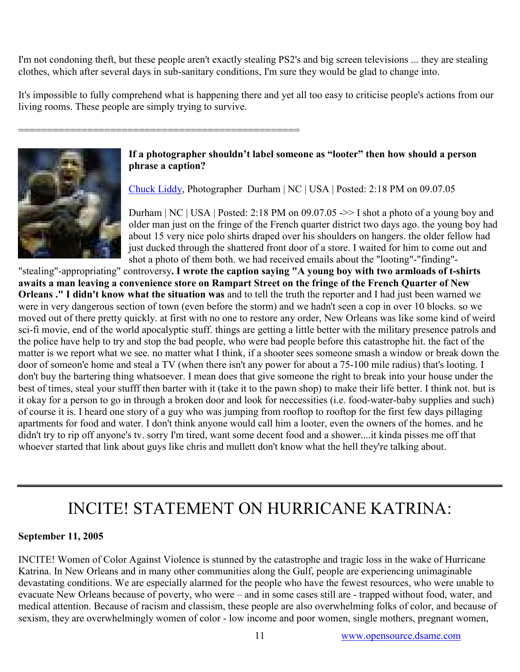I'm not condoning theft, but these people aren't exactly stealing PS2's and big screen televisions ... they are stealing clothes, which after several days in sub-sanitary conditions, I'm sure they would be glad to change into.

It's impossible to fully comprehend what is happening there and yet all too easy to criticise people's actions from our living rooms. These people are simply trying to survive.

=================================================

#### If a photographer shouldn't label someone as "looter" then how should a person phrase a caption?

Chuck Liddy, Photographer Durham | NC | USA | Posted: 2:18 PM on 09.07.05

Durham | NC | USA | Posted: 2:18 PM on 09.07.05 ->> I shot a photo of a young boy and older man just on the fringe of the French quarter district two days ago. the young boy had about 15 very nice polo shirts draped over his shoulders on hangers. the older fellow had just ducked through the shattered front door of a store. I waited for him to come out and shot a photo of them both. we had received emails about the "looting"-"finding"-

"stealing"-appropriating" controversy. I wrote the caption saying "A young boy with two armloads of t-shirts awaits a man leaving a convenience store on Rampart Street on the fringe of the French Quarter of New Orleans ." I didn't know what the situation was and to tell the truth the reporter and I had just been warned we were in very dangerous section of town (even before the storm) and we hadn't seen a cop in over 10 blocks. so we moved out of there pretty quickly. at first with no one to restore any order, New Orleans was like some kind of weird sci-fi movie, end of the world apocalyptic stuff. things are getting a little better with the military presence patrols and the police have help to try and stop the bad people, who were bad people before this catastrophe hit. the fact of the matter is we report what we see. no matter what I think, if a shooter sees someone smash a window or break down the door of someon'e home and steal a TV (when there isn't any power for about a 75-100 mile radius) that's looting. I don't buy the bartering thing whatsoever. I mean does that give someone the right to break into your house under the best of times, steal your stufff then barter with it (take it to the pawn shop) to make their life better. I think not. but is it okay for a person to go in through a broken door and look for neccessities (i.e. food-water-baby supplies and such) of course it is. I heard one story of a guy who was jumping from rooftop to rooftop for the first few days pillaging apartments for food and water. I don't think anyone would call him a looter, even the owners of the homes. and he didn't try to rip off anyone's tv. sorry I'm tired, want some decent food and a shower....it kinda pisses me off that whoever started that link about guys like chris and mullett don't know what the hell they're talking about.

# INCITE! STATEMENT ON HURRICANE KATRINA:

#### September 11, 2005

INCITE! Women of Color Against Violence is stunned by the catastrophe and tragic loss in the wake of Hurricane Katrina. In New Orleans and in many other communities along the Gulf, people are experiencing unimaginable devastating conditions. We are especially alarmed for the people who have the fewest resources, who were unable to evacuate New Orleans because of poverty, who were – and in some cases still are - trapped without food, water, and medical attention. Because of racism and classism, these people are also overwhelming folks of color, and because of sexism, they are overwhelmingly women of color - low income and poor women, single mothers, pregnant women,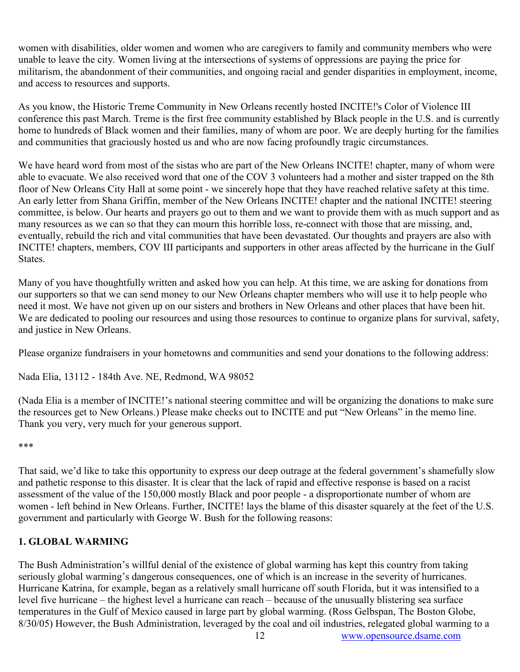women with disabilities, older women and women who are caregivers to family and community members who were unable to leave the city. Women living at the intersections of systems of oppressions are paying the price for militarism, the abandonment of their communities, and ongoing racial and gender disparities in employment, income, and access to resources and supports.

As you know, the Historic Treme Community in New Orleans recently hosted INCITE!'s Color of Violence III conference this past March. Treme is the first free community established by Black people in the U.S. and is currently home to hundreds of Black women and their families, many of whom are poor. We are deeply hurting for the families and communities that graciously hosted us and who are now facing profoundly tragic circumstances.

We have heard word from most of the sistas who are part of the New Orleans INCITE! chapter, many of whom were able to evacuate. We also received word that one of the COV 3 volunteers had a mother and sister trapped on the 8th floor of New Orleans City Hall at some point - we sincerely hope that they have reached relative safety at this time. An early letter from Shana Griffin, member of the New Orleans INCITE! chapter and the national INCITE! steering committee, is below. Our hearts and prayers go out to them and we want to provide them with as much support and as many resources as we can so that they can mourn this horrible loss, re-connect with those that are missing, and, eventually, rebuild the rich and vital communities that have been devastated. Our thoughts and prayers are also with INCITE! chapters, members, COV III participants and supporters in other areas affected by the hurricane in the Gulf States.

Many of you have thoughtfully written and asked how you can help. At this time, we are asking for donations from our supporters so that we can send money to our New Orleans chapter members who will use it to help people who need it most. We have not given up on our sisters and brothers in New Orleans and other places that have been hit. We are dedicated to pooling our resources and using those resources to continue to organize plans for survival, safety, and justice in New Orleans.

Please organize fundraisers in your hometowns and communities and send your donations to the following address:

Nada Elia, 13112 - 184th Ave. NE, Redmond, WA 98052

(Nada Elia is a member of INCITE!'s national steering committee and will be organizing the donations to make sure the resources get to New Orleans.) Please make checks out to INCITE and put "New Orleans" in the memo line. Thank you very, very much for your generous support.

\*\*\*

That said, we'd like to take this opportunity to express our deep outrage at the federal government's shamefully slow and pathetic response to this disaster. It is clear that the lack of rapid and effective response is based on a racist assessment of the value of the 150,000 mostly Black and poor people - a disproportionate number of whom are women - left behind in New Orleans. Further, INCITE! lays the blame of this disaster squarely at the feet of the U.S. government and particularly with George W. Bush for the following reasons:

### 1. GLOBAL WARMING

The Bush Administration's willful denial of the existence of global warming has kept this country from taking seriously global warming's dangerous consequences, one of which is an increase in the severity of hurricanes. Hurricane Katrina, for example, began as a relatively small hurricane off south Florida, but it was intensified to a level five hurricane – the highest level a hurricane can reach – because of the unusually blistering sea surface temperatures in the Gulf of Mexico caused in large part by global warming. (Ross Gelbspan, The Boston Globe, 8/30/05) However, the Bush Administration, leveraged by the coal and oil industries, relegated global warming to a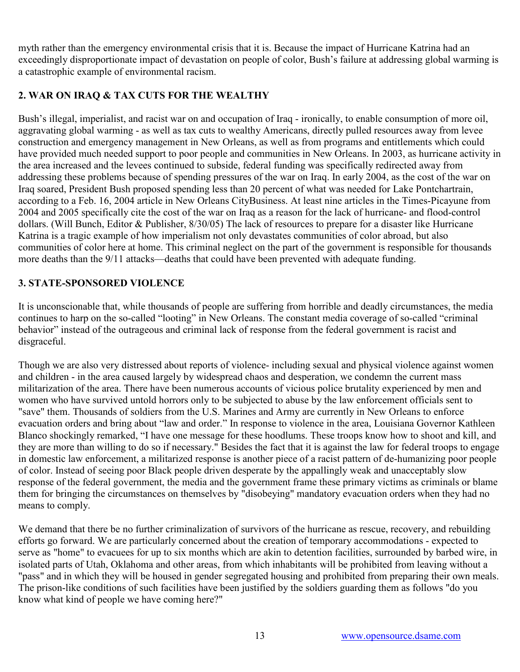myth rather than the emergency environmental crisis that it is. Because the impact of Hurricane Katrina had an exceedingly disproportionate impact of devastation on people of color, Bush's failure at addressing global warming is a catastrophic example of environmental racism.

### 2. WAR ON IRAQ & TAX CUTS FOR THE WEALTHY

Bush's illegal, imperialist, and racist war on and occupation of Iraq - ironically, to enable consumption of more oil, aggravating global warming - as well as tax cuts to wealthy Americans, directly pulled resources away from levee construction and emergency management in New Orleans, as well as from programs and entitlements which could have provided much needed support to poor people and communities in New Orleans. In 2003, as hurricane activity in the area increased and the levees continued to subside, federal funding was specifically redirected away from addressing these problems because of spending pressures of the war on Iraq. In early 2004, as the cost of the war on Iraq soared, President Bush proposed spending less than 20 percent of what was needed for Lake Pontchartrain, according to a Feb. 16, 2004 article in New Orleans CityBusiness. At least nine articles in the Times-Picayune from 2004 and 2005 specifically cite the cost of the war on Iraq as a reason for the lack of hurricane- and flood-control dollars. (Will Bunch, Editor & Publisher, 8/30/05) The lack of resources to prepare for a disaster like Hurricane Katrina is a tragic example of how imperialism not only devastates communities of color abroad, but also communities of color here at home. This criminal neglect on the part of the government is responsible for thousands more deaths than the 9/11 attacks—deaths that could have been prevented with adequate funding.

#### 3. STATE-SPONSORED VIOLENCE

It is unconscionable that, while thousands of people are suffering from horrible and deadly circumstances, the media continues to harp on the so-called "looting" in New Orleans. The constant media coverage of so-called "criminal behavior" instead of the outrageous and criminal lack of response from the federal government is racist and disgraceful.

Though we are also very distressed about reports of violence- including sexual and physical violence against women and children - in the area caused largely by widespread chaos and desperation, we condemn the current mass militarization of the area. There have been numerous accounts of vicious police brutality experienced by men and women who have survived untold horrors only to be subjected to abuse by the law enforcement officials sent to "save" them. Thousands of soldiers from the U.S. Marines and Army are currently in New Orleans to enforce evacuation orders and bring about "law and order." In response to violence in the area, Louisiana Governor Kathleen Blanco shockingly remarked, "I have one message for these hoodlums. These troops know how to shoot and kill, and they are more than willing to do so if necessary." Besides the fact that it is against the law for federal troops to engage in domestic law enforcement, a militarized response is another piece of a racist pattern of de-humanizing poor people of color. Instead of seeing poor Black people driven desperate by the appallingly weak and unacceptably slow response of the federal government, the media and the government frame these primary victims as criminals or blame them for bringing the circumstances on themselves by "disobeying" mandatory evacuation orders when they had no means to comply.

We demand that there be no further criminalization of survivors of the hurricane as rescue, recovery, and rebuilding efforts go forward. We are particularly concerned about the creation of temporary accommodations - expected to serve as "home" to evacuees for up to six months which are akin to detention facilities, surrounded by barbed wire, in isolated parts of Utah, Oklahoma and other areas, from which inhabitants will be prohibited from leaving without a "pass" and in which they will be housed in gender segregated housing and prohibited from preparing their own meals. The prison-like conditions of such facilities have been justified by the soldiers guarding them as follows "do you know what kind of people we have coming here?"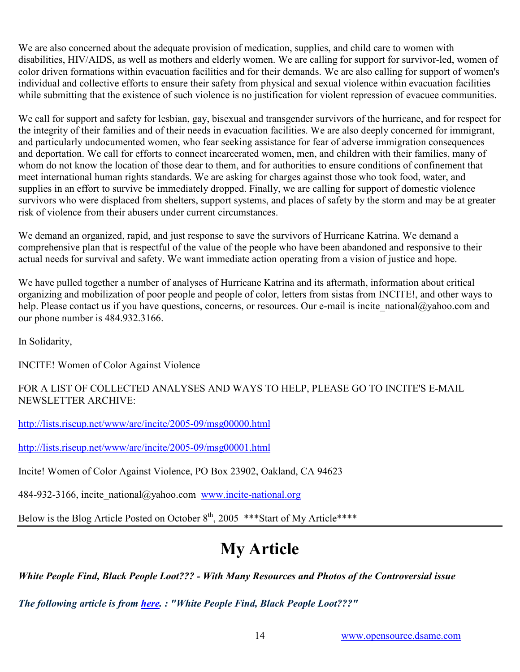We are also concerned about the adequate provision of medication, supplies, and child care to women with disabilities, HIV/AIDS, as well as mothers and elderly women. We are calling for support for survivor-led, women of [color driven formations within evacuation facilities and for the](http://lists.riseup.net/www/arc/incite/2005-09/msg00000.html)ir demands. We are also calling for support of women's individual and collective efforts to ensure their safety from physical and sexual violence within evacuation facilities [while submitting that the existence of such violence is no justi](http://lists.riseup.net/www/arc/incite/2005-09/msg00001.html)fication for violent repression of evacuee communities.

We call for support and safety for lesbian, gay, bisexual and transgender survivors of the hurricane, and for respect for the integrity of their families and of their needs in evacuation facilities. We are also deeply concerned for immigrant, and particularly undocumented women, who [fear seeking assistance f](http://www.incite-national.org/)or fear of adverse immigration consequences and deportation. We call for efforts to connect incarcerated women, men, and children with their families, many of whom do not know the location of those dear to them, and for authorities to ensure conditions of confinement that meet international human rights standards. We are asking for charges against those who took food, water, and supplies in an effort to survive be immediately dropped. Finally, we are calling for support of domestic violence survivors who were displaced from shelters, support systems, and places of safety by the storm and may be at greater risk of violence from their abusers under current circumstances.

We demand an organized, rapid, and just response to save the survivors of Hurricane Katrina. We demand a comprehensive plan that is re[spectf](http://tradermike.net/movethecrowd/archives/2005/09/white_people_find_black_people_loot.php)ul of the value of the people who have been abandoned and responsive to their actual needs for survival and safety. We want immediate action operating from a vision of justice and hope.

We have pulled together a number of analyses of Hurricane Katrina and its aftermath, information about critical organizing and mobilization of poor people and people of color, letters from sistas from INCITE!, and other ways to help. Please contact us if you have questions, concerns, or resources. Our e-mail is incite national@yahoo.com and our phone number is 484.932.3166.

In Solidarity,

INCITE! Women of Color Against Violence

FOR A LIST OF COLLECTED ANALYSES AND WAYS TO HELP, PLEASE GO TO INCITE'S E-MAIL NEWSLETTER ARCHIVE:

http://lists.riseup.net/www/arc/incite/2005-09/msg00000.html

http://lists.riseup.net/www/arc/incite/2005-09/msg00001.html

Incite! Women of Color Against Violence, PO Box 23902, Oakland, CA 94623

484-932-3166, incite\_national@yahoo.com www.incite-national.org

[Below](http://www.flickr.com/photos/triciawang/38922728/) is [the Blo](http://www.salon.com/news/feature/2005/09/01/photo_controversy/)[g Article Pos](http://poynter.org/column.asp?id=45&aid=88106)te[d on Octobe](http://www.gothamist.com/archives/2005/08/31/katrinas_ugly_aftermath.php)r  $8^{th}$ , 2005 \*\*\*Start of My Article\*\*\*\*

## [My Article](http://hosted.planetether.net/referral.jpg)

[White People Find, Black People Loot??? - With Many Resources and Photos of](http://www.tonypierce.com/blog/2005/08/black-people-loot-white-people-find.htm) the Controversial issue

The following article is from *here.* : "White People Find, Black People Loot???"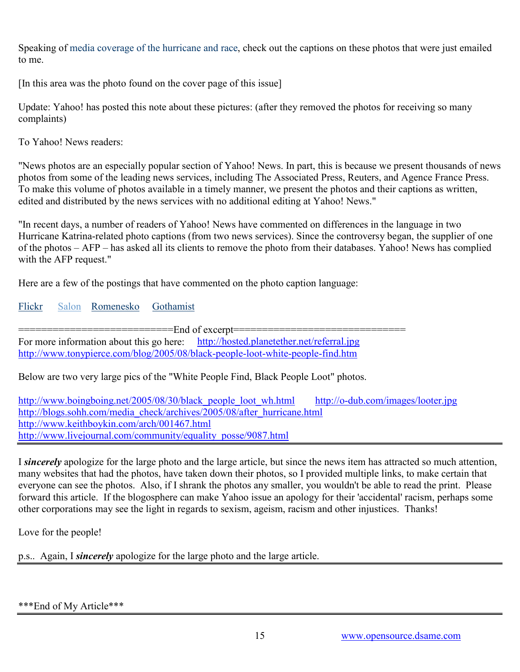[Speaking of media coverage of the hurricane an](http://www.keithboykin.com/arch/001467.html)[d race, check out the captio](http://blogs.sohh.com/media_check/archives/2005/08/after_hurricane.html)ns on these photos that were just emailed to me.

[\[In this area was the photo found on the cover page of this issue\]](http://www.livejournal.com/community/equality_posse/9087.html) 

Update: Yahoo! has posted this note about these pictures: (after they removed the photos for receiving so many complaints)

To Yahoo! News readers:

"News photos are an especially popular section of Yahoo! News. In part, this is because we present thousands of news photos from some of the leading news services, including The Associated Press, Reuters, and Agence France Press. To make this volume of photos available in a timely manner, we present the photos and their captions as written, edited and distributed by the news services with no additional editing at Yahoo! News."

"In recent days, a number of readers of Yahoo! News have commented on differences in the language in two Hurricane Katrina-related photo captions (from two news services). Since the controversy began, the supplier of one of the photos – AFP – has asked all its clients to remove the photo from their databases. Yahoo! News has complied with the AFP request."

Here are a few of the postings that have c[ommented on the ph](http://www.livejournal.com/users/loveandequality)oto caption language:

Flickr Salon Romenesko Gothamist

===========================End of excerpt============================== For more information about this go here: http://hosted.planetether.net/referral.jpg http://www.tonypierce.com/blog[/2005/08/black-people-loot-white-people-find.htm](http://www.livejournal.com/users/vintagetraveler)

Below are two very large pics of the "White People Find, Black People Loot" photos.

http://www.boingboing.net/2005/08/30/black\_people\_loot\_wh.html http://o-dub.com/images/looter.jpg http://blogs.sohh.com/media\_check/archives/2005/08/after\_hurricane.html http://www.keithboykin.com/arch/001467.html http://www.livejournal.com/community/equality\_posse/9087.html

I sincerely apologize for the large photo and the large article, but since the news item has attracted so much attention, many websites that had the photo[s, have taken down their photos, so I provided mul](http://www.livejournal.com/users/sheis_slaughter)tiple links, to make certain that everyone can see the photos. Also, if I shrank the photos any smaller, you wouldn't be able to read the print. Please forward this article. If the blogosphere can make Yahoo issue an apology for their 'accidental' racism, perhaps some other corporations may see the light in regards to sexism, ageism, racism and other injustices. Thanks!

Love for the people!

p.s.. Again, I sincerely apologi[ze for the large photo and the large article.](http://www.livejournal.com/users/afterglowxxo)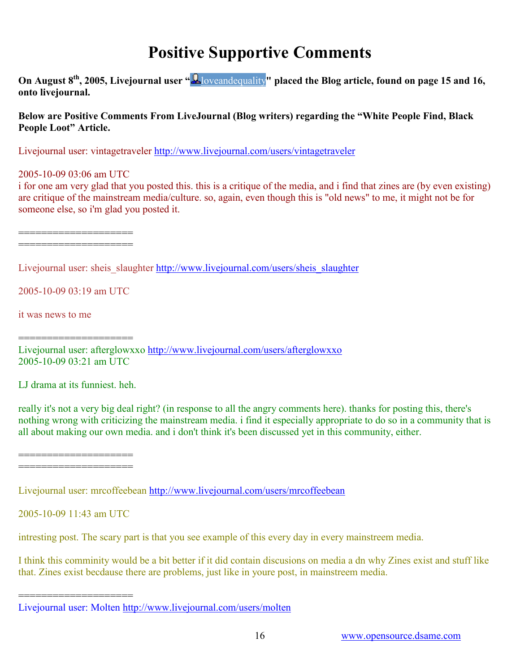## Positive Supportive Comments

On August  $8<sup>th</sup>$ , 2005, Livejournal user " $\frac{1}{2}$ loveandequality" placed the Blog article, found on page 15 and 16, onto livejournal.

Below are Positive Comments From LiveJournal (Blog writers) regarding the "White People Find, Black People Loot" Article.

Livejournal user: vintagetraveler http://www.livejournal.com/users/vintagetraveler

2005-10-09 03:06 am UTC

i for one am very glad that you posted this. this is a critique of the media, and i find that zines are (by even existing) are critique of the mainstream media/culture. so, again, even though this is "old news" to me, it might not be for someone else, so i'm glad [you posted it.](http://www.livejournal.com/users/molten) 

==================== ====================

Livejournal user: sheis\_slaughter http://www.livejournal.com/users/sheis\_slaughter

2005-10-09 03:19 am UTC

it was news to me

======================

Livejournal user: afterglowxxo http://www.livejournal.com/users/afterglowxxo 2005-10-09 03:21 am UTC

LJ drama at its funniest, heh.

really it's not a very big deal right? (in response to all the angry comments here). thanks for posting this, there's nothing wrong with criticizing the mainstream media. i find it especially appropriate to do so in a community that is all about making our own media. and i don't think it's been discussed yet in this community, either.

================== ====================

Livejournal user: mrcoffeebean http://www.livejournal.com/users/mrcoffeebean

2005-10-09 11:43 am UTC

[==](http://www.livejournal.com/userinfo.bml?user=charlie_and_aj)[============](http://www.livejournal.com/users/charlie_and_aj/)========

intresting post. The scary part is that you see example of this every day in every mainstreem media.

I think this comminity would be a bit better if it did contain discusions on media a dn why Zines exist and stuff like that. Zines exist becdause there are problems, just like in youre post, in mainstreem media.

Livejournal user: Molten http://www.livejournal.com/users/molten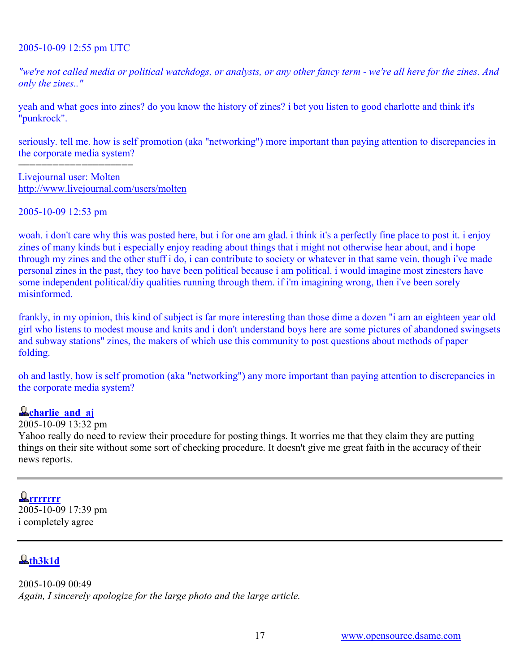#### 2005-10-09 12:55 pm UTC

"we're not called media or political watchdogs, or analysts, or any other fancy term - we're all here for the zines. And [onl](http://www.livejournal.com/userinfo.bml?user=rrrrrrr)[y the zin](http://www.livejournal.com/users/rrrrrrr/)es.."

yeah and what goes into zines? do you know the history of zines? i bet you listen to good charlotte and think it's "punkrock".

seriously. tell me. how is self promotion (aka "networking") more important than paying attention to discrepancies in [the](http://www.livejournal.com/userinfo.bml?user=th3k1d) [corpora](http://www.livejournal.com/users/th3k1d/)te media system?

====================== Livejournal user: Molten http://www.livejournal.com/users/molten

#### 2005-10-09 12:53 pm

woah. i don't care why this was posted here, but i for one am glad. i think it's a perfectly fine place to post it. i enjoy zines of many kinds but i especially enjoy reading about things that i might not otherwise hear about, and i hope [thr](http://www.livejournal.com/userinfo.bml?user=jazzkat)[ough my](http://www.livejournal.com/users/jazzkat/) zines and the other stuff i do, i can contribute to society or whatever in that same vein. though i've made personal zines in the past, they too have been political because i am political. i would imagine most zinesters have some independent political/diy qualities running through them. if i'm imagining wrong, then i've been sorely misinformed.

frankly, in my opinion, this kind of subject is far more interesting than those dime a dozen "i am an eighteen year old girl who listens to modest mouse and knits and i don't understand boys here are some pictures of abandoned swingsets and subway stations" zines, the makers of which use this community to post questions about methods of paper folding.

oh and lastly, how is self promotion (aka "networking") any more important than paying attention to discrepancies in the corporate media system?

#### **L**charlie and aj

2005-10-09 13:32 pm

Yahoo really do need to review their procedure for posting things. It worries me that they claim they are putting things on their site without s[om](http://www.livejournal.com/userinfo.bml?user=loveandequality)[e sort of checkin](http://www.livejournal.com/users/loveandequality/)g procedure. It doesn't give me great faith in the accuracy of their news reports.

#### **L**rrrrrr [20](http://www.livejournal.com/userinfo.bml?user=purejuice)[05-10-09 1](http://www.livejournal.com/users/purejuice/)7:39 pm i completely agree

### $Lth3k1d$

2005-10-09 00:49 Again, I sincerely apologize for the large photo and the large article.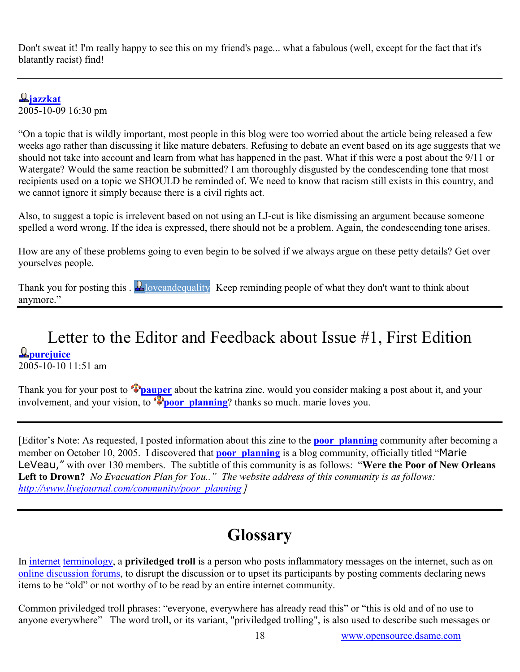[Don't sweat it! I'm really happy to see this on my friend](http://www.livejournal.com/community/poor_planning)'s page... what a fabulous (well, except for the fact that it's blatantly racist) find!

### Liazzkat

20[05-10-0](http://en.wikipedia.org/wiki/Internet)[9 16:30 pm](http://en.wikipedia.org/wiki/Terminology) 

["On a topic that is wildly](http://en.wikipedia.org/wiki/Internet_forum) important, most people in this blog were too worried about the article being released a few weeks ago rather than discussing it like mature debaters. Refusing to debate an event based on its age suggests that we should not take into account and learn from what has happened in the past. What if this were a post about the 9/11 or Watergate? Would the same reaction be submitted? I am thoroughly disgusted by the condescending tone that most recipients used on a topic we SHOULD be reminded of. We need to know that racism still exists in this country, and we cannot ignore it simply because there is a civil rights act.

Also, to suggest a topic is irrelevent based on not using an LJ-cut is like dismissing an argument because someone spelled a word wrong. If the idea is expressed, there should not be a problem. Again, the condescending tone arises.

How are any of these problems going to even begin to be solved if we always argue on these petty details? Get over yourselves people.

Thank you for posting this .  $\Delta$  loveandequality Keep reminding people of what they don't want to think about anymore."

### Letter to the Editor and Feed[back a](http://en.wikipedia.org/wiki/Usenet)bo[ut Issue](http://en.wikipedia.org/wiki/Sport_fishing) [#1,](http://en.wikipedia.org/wiki/1980s) Fir[st Edi](http://en.wikipedia.org/wiki/Trolling_for_fish)tion **P**urejuice

 $2005 - 10 - 10$  11:51 am

[Thank you fo](http://en.wikipedia.org/wiki/Scandinavia)[r your po](http://en.wikipedia.org/wiki/Folklore)st to **Pauper** about the katrina zine. would you consider ma[king a](http://en.wikipedia.org/wiki/Troll) po[st about it, an](http://en.wikipedia.org/wiki/Wickedness)d your involvement, and your vision, to **Propict** planning? tha[nks so much. marie loves](http://en.wikipedia.org/wiki/Three_Billy_Goats_Gruff) you.

[Editor's Note: As requested, I posted information about this zin[e to the](http://en.wikipedia.org/wiki/Mythology) **poor planning** co[mmun](http://en.wikipedia.org/wiki/Witch)ity after becoming a member on October 10, 2005. I discovered that **poor** planning is a blog community, officially titled "Marie [LeVeau,"](http://en.wikipedia.org/wiki/Christianity) with ov[er 130 members.](http://en.wikipedia.org/wiki/Paganism) The [subtitle of this](http://en.wikipedia.org/wiki/Middle_Ages) community is as follows: "Were the Poor of New Orleans" Left to Drown? No Evacuation Plan for You.." The website address of this community is as follows: http://www.livejournal.com/community/poor\_planning ]

# **Glossary**

In internet terminology, a priviledged troll is a person who posts inflammatory messages on the internet, such as on online discussion forums, to disrupt the discussion or to upset its participants by posting comments declaring news items to be "old" or not worthy of to be read by an entire internet community.

Common priviledged troll phrases: "everyone, everywhere has al[ready read this" or "this is old and of no use](http://www.law.cornell.edu/uscode/17/107.shtml) to anyone everywhere" The word troll, or its variant, "priviledged trolling", is also used to describe such messages or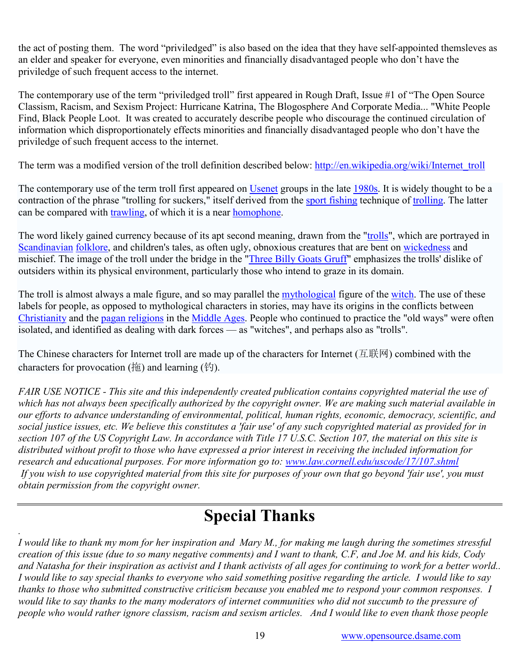the act of posting them. The word "priviledged" is also based on the idea that they have self-appointed themsleves as an elder and speaker for everyone, even minorities and financially disadvantaged people who don't have the priviledge of such frequent access to the internet.

The contemporary use of the term "priviledged troll" first appeared in Rough Draft, Issue #1 of "The Open Source Classism, Racism, and Sexism Project: Hurricane Katrina, The Blogosphere And Corporate Media... "White People Find, Black People Loot. It was created to accurately describe people who discourage the continued circulation of information which disproportionately effects minorities and financially disadvantaged people who don't have the priviledge of such frequent access to the internet.

The term was a modified version of the troll definition described below: http://en.wikipedia.org/wiki/Internet\_troll

The contemporary use of the term troll first appeared on Usenet groups in the late 1980s. It is widely thought to be a contraction of the phrase "trolling for suckers," itself derived from the sport fishing technique of trolling. The latter can be compared with trawling, of which it is a near homophone.

The word likely gained currency because of its apt second meaning, drawn from the "trolls", which are portrayed in Scandinavian folklore, and children's tales, as often ugly, obnoxious creatures that are bent on wickedness and mischief. The image of the troll under the bridge in the "Three Billy Goats Gruff" emphasizes the trolls' dislike of outsiders within its physical environment, particularly those who intend to graze in its domain.

The troll is almost always a male figure, and so may parallel the mythological figure of the witch. The use of these labels for people, as opposed to mythological characters in stories, may have its origins in the conflicts between Christianity and the pagan religions in the Middle Ages. People who continued to practice the "old ways" were often isolated, and identified as dealing with dark forces — as "witches", and perhaps also as "trolls".

The Chinese characters for Internet troll are made up of the characters for Internet ( $E\ddot{\mathbb{R}}$  $\ddot{\mathbb{R}}$ ) combined with the characters for provocation  $(k)$  and learning  $(k)$ .

FAIR USE NOTICE - This site and this independently created publication contains copyrighted material the use of which has not always been specifically authorized by the copyright owner. We are making such material available in our efforts to advance understanding of environmental, political, human rights, economic, democracy, scientific, and social justice issues, etc. We believe this constitutes a 'fair use' of any such copyrighted material as provided for in section 107 of the US Copyright Law. In accordance with Title 17 U.S.C. Section 107, the material on this site is distributed without profit to those who have expressed a prior interest in receiving the included information for research and educational purposes. For more information go to: www.law.cornell.edu/uscode/17/107.shtml If you wish to use copyrighted material from this site for purposes of your own that go beyond 'fair use', you must obtain permission from the copyright owner.

## Special Thanks

.

I would like to thank my mom for her inspiration and Mary M., for making me laugh during the sometimes stressful creation of this issue (due to so many negative comments) and I want to thank, C.F, and Joe M. and his kids, Cody and Natasha for their inspiration as activist and I thank activists of all ages for continuing to work for a better world.. I would like to say special thanks to everyone who said something positive regarding the article. I would like to say thanks to those who submitted constructive criticism because you enabled me to respond your common responses. I would like to say thanks to the many moderators of internet communities who did not succumb to the pressure of people who would rather ignore classism, racism and sexism articles. And I would like to even thank those people